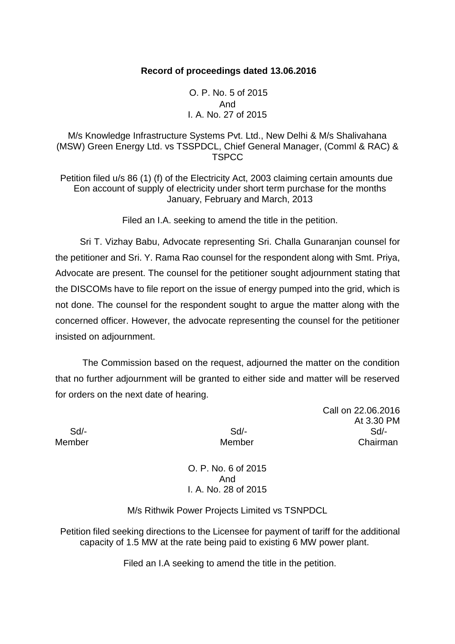### **Record of proceedings dated 13.06.2016**

O. P. No. 5 of 2015 And I. A. No. 27 of 2015

M/s Knowledge Infrastructure Systems Pvt. Ltd., New Delhi & M/s Shalivahana (MSW) Green Energy Ltd. vs TSSPDCL, Chief General Manager, (Comml & RAC) & **TSPCC** 

Petition filed u/s 86 (1) (f) of the Electricity Act, 2003 claiming certain amounts due Eon account of supply of electricity under short term purchase for the months January, February and March, 2013

Filed an I.A. seeking to amend the title in the petition.

Sri T. Vizhay Babu, Advocate representing Sri. Challa Gunaranjan counsel for the petitioner and Sri. Y. Rama Rao counsel for the respondent along with Smt. Priya, Advocate are present. The counsel for the petitioner sought adjournment stating that the DISCOMs have to file report on the issue of energy pumped into the grid, which is not done. The counsel for the respondent sought to argue the matter along with the concerned officer. However, the advocate representing the counsel for the petitioner insisted on adjournment.

The Commission based on the request, adjourned the matter on the condition that no further adjournment will be granted to either side and matter will be reserved for orders on the next date of hearing.

Call on 22.06.2016 At 3.30 PM Sd/- Sd/- Sd/- Member **Member** Chairman

> O. P. No. 6 of 2015 And I. A. No. 28 of 2015

M/s Rithwik Power Projects Limited vs TSNPDCL

Petition filed seeking directions to the Licensee for payment of tariff for the additional capacity of 1.5 MW at the rate being paid to existing 6 MW power plant.

Filed an I.A seeking to amend the title in the petition.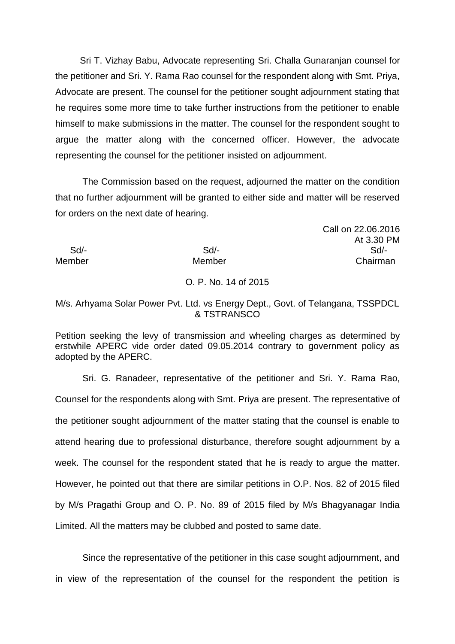Sri T. Vizhay Babu, Advocate representing Sri. Challa Gunaranjan counsel for the petitioner and Sri. Y. Rama Rao counsel for the respondent along with Smt. Priya, Advocate are present. The counsel for the petitioner sought adjournment stating that he requires some more time to take further instructions from the petitioner to enable himself to make submissions in the matter. The counsel for the respondent sought to argue the matter along with the concerned officer. However, the advocate representing the counsel for the petitioner insisted on adjournment.

The Commission based on the request, adjourned the matter on the condition that no further adjournment will be granted to either side and matter will be reserved for orders on the next date of hearing.

# Call on 22.06.2016 At 3.30 PM Sd/- Sd/- Sd/- Member Member **Member** Chairman

## O. P. No. 14 of 2015

### M/s. Arhyama Solar Power Pvt. Ltd. vs Energy Dept., Govt. of Telangana, TSSPDCL & TSTRANSCO

Petition seeking the levy of transmission and wheeling charges as determined by erstwhile APERC vide order dated 09.05.2014 contrary to government policy as adopted by the APERC.

Sri. G. Ranadeer, representative of the petitioner and Sri. Y. Rama Rao, Counsel for the respondents along with Smt. Priya are present. The representative of the petitioner sought adjournment of the matter stating that the counsel is enable to attend hearing due to professional disturbance, therefore sought adjournment by a week. The counsel for the respondent stated that he is ready to argue the matter. However, he pointed out that there are similar petitions in O.P. Nos. 82 of 2015 filed by M/s Pragathi Group and O. P. No. 89 of 2015 filed by M/s Bhagyanagar India Limited. All the matters may be clubbed and posted to same date.

Since the representative of the petitioner in this case sought adjournment, and in view of the representation of the counsel for the respondent the petition is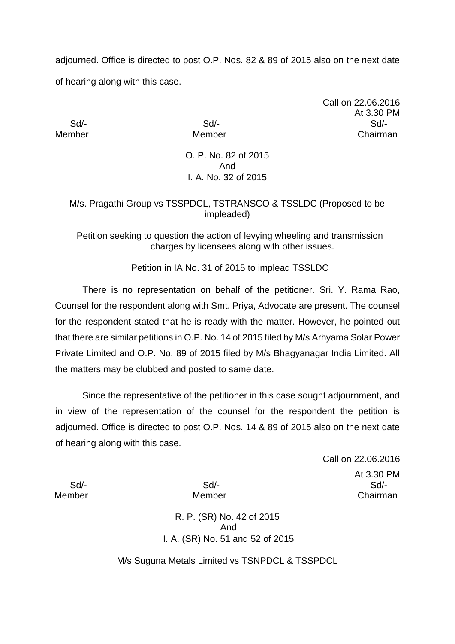adjourned. Office is directed to post O.P. Nos. 82 & 89 of 2015 also on the next date of hearing along with this case.

Call on 22.06.2016 At 3.30 PM Sd/- Sd/- Sd/- Member Member Chairman

> O. P. No. 82 of 2015 And I. A. No. 32 of 2015

# M/s. Pragathi Group vs TSSPDCL, TSTRANSCO & TSSLDC (Proposed to be impleaded)

Petition seeking to question the action of levying wheeling and transmission charges by licensees along with other issues.

Petition in IA No. 31 of 2015 to implead TSSLDC

There is no representation on behalf of the petitioner. Sri. Y. Rama Rao, Counsel for the respondent along with Smt. Priya, Advocate are present. The counsel for the respondent stated that he is ready with the matter. However, he pointed out that there are similar petitions in O.P. No. 14 of 2015 filed by M/s Arhyama Solar Power Private Limited and O.P. No. 89 of 2015 filed by M/s Bhagyanagar India Limited. All the matters may be clubbed and posted to same date.

Since the representative of the petitioner in this case sought adjournment, and in view of the representation of the counsel for the respondent the petition is adjourned. Office is directed to post O.P. Nos. 14 & 89 of 2015 also on the next date of hearing along with this case.

Call on 22.06.2016 At 3.30 PM Sd/- Sd/- Sd/- Member Member Chairman

R. P. (SR) No. 42 of 2015 And I. A. (SR) No. 51 and 52 of 2015

M/s Suguna Metals Limited vs TSNPDCL & TSSPDCL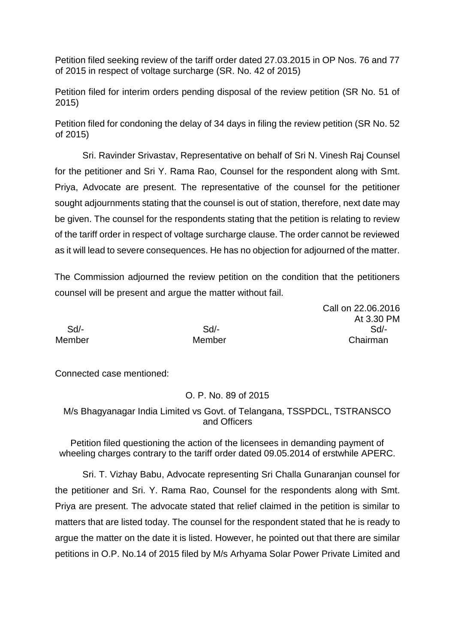Petition filed seeking review of the tariff order dated 27.03.2015 in OP Nos. 76 and 77 of 2015 in respect of voltage surcharge (SR. No. 42 of 2015)

Petition filed for interim orders pending disposal of the review petition (SR No. 51 of 2015)

Petition filed for condoning the delay of 34 days in filing the review petition (SR No. 52 of 2015)

Sri. Ravinder Srivastav, Representative on behalf of Sri N. Vinesh Raj Counsel for the petitioner and Sri Y. Rama Rao, Counsel for the respondent along with Smt. Priya, Advocate are present. The representative of the counsel for the petitioner sought adjournments stating that the counsel is out of station, therefore, next date may be given. The counsel for the respondents stating that the petition is relating to review of the tariff order in respect of voltage surcharge clause. The order cannot be reviewed as it will lead to severe consequences. He has no objection for adjourned of the matter.

The Commission adjourned the review petition on the condition that the petitioners counsel will be present and argue the matter without fail.

Call on 22.06.2016 At 3.30 PM Sd/- Sd/- Sd/- Member Member Chairman

Connected case mentioned:

O. P. No. 89 of 2015

M/s Bhagyanagar India Limited vs Govt. of Telangana, TSSPDCL, TSTRANSCO and Officers

Petition filed questioning the action of the licensees in demanding payment of wheeling charges contrary to the tariff order dated 09.05.2014 of erstwhile APERC.

Sri. T. Vizhay Babu, Advocate representing Sri Challa Gunaranjan counsel for the petitioner and Sri. Y. Rama Rao, Counsel for the respondents along with Smt. Priya are present. The advocate stated that relief claimed in the petition is similar to matters that are listed today. The counsel for the respondent stated that he is ready to argue the matter on the date it is listed. However, he pointed out that there are similar petitions in O.P. No.14 of 2015 filed by M/s Arhyama Solar Power Private Limited and